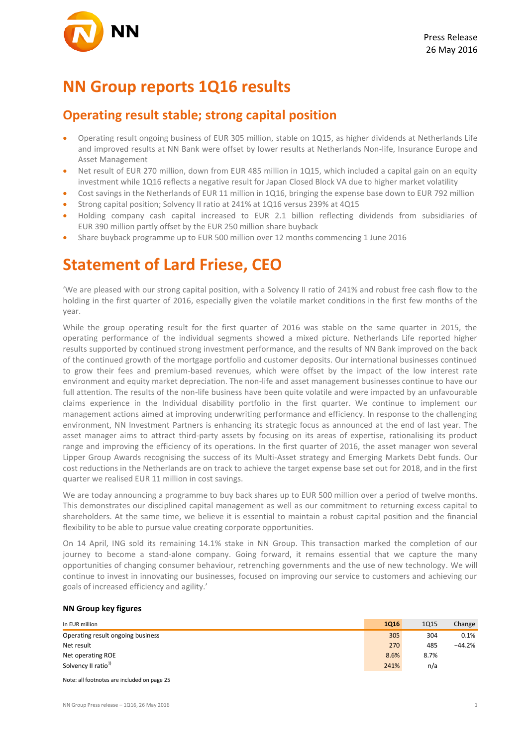## **NN Group reports 1Q16 results**

### **Operating result stable; strong capital position**

- Operating result ongoing business of EUR 305 million, stable on 1Q15, as higher dividends at Netherlands Life and improved results at NN Bank were offset by lower results at Netherlands Non-life, Insurance Europe and Asset Management
- Net result of EUR 270 million, down from EUR 485 million in 1Q15, which included a capital gain on an equity investment while 1Q16 reflects a negative result for Japan Closed Block VA due to higher market volatility
- Cost savings in the Netherlands of EUR 11 million in 1Q16, bringing the expense base down to EUR 792 million
- Strong capital position; Solvency II ratio at 241% at 1Q16 versus 239% at 4Q15
- Holding company cash capital increased to EUR 2.1 billion reflecting dividends from subsidiaries of EUR 390 million partly offset by the EUR 250 million share buyback
- Share buyback programme up to EUR 500 million over 12 months commencing 1 June 2016

## **Statement of Lard Friese, CEO**

'We are pleased with our strong capital position, with a Solvency II ratio of 241% and robust free cash flow to the holding in the first quarter of 2016, especially given the volatile market conditions in the first few months of the year.

While the group operating result for the first quarter of 2016 was stable on the same quarter in 2015, the operating performance of the individual segments showed a mixed picture. Netherlands Life reported higher results supported by continued strong investment performance, and the results of NN Bank improved on the back of the continued growth of the mortgage portfolio and customer deposits. Our international businesses continued to grow their fees and premium-based revenues, which were offset by the impact of the low interest rate environment and equity market depreciation. The non-life and asset management businesses continue to have our full attention. The results of the non-life business have been quite volatile and were impacted by an unfavourable claims experience in the Individual disability portfolio in the first quarter. We continue to implement our management actions aimed at improving underwriting performance and efficiency. In response to the challenging environment, NN Investment Partners is enhancing its strategic focus as announced at the end of last year. The asset manager aims to attract third-party assets by focusing on its areas of expertise, rationalising its product range and improving the efficiency of its operations. In the first quarter of 2016, the asset manager won several Lipper Group Awards recognising the success of its Multi-Asset strategy and Emerging Markets Debt funds. Our cost reductions in the Netherlands are on track to achieve the target expense base set out for 2018, and in the first quarter we realised EUR 11 million in cost savings.

We are today announcing a programme to buy back shares up to EUR 500 million over a period of twelve months. This demonstrates our disciplined capital management as well as our commitment to returning excess capital to shareholders. At the same time, we believe it is essential to maintain a robust capital position and the financial flexibility to be able to pursue value creating corporate opportunities.

On 14 April, ING sold its remaining 14.1% stake in NN Group. This transaction marked the completion of our journey to become a stand-alone company. Going forward, it remains essential that we capture the many opportunities of changing consumer behaviour, retrenching governments and the use of new technology. We will continue to invest in innovating our businesses, focused on improving our service to customers and achieving our goals of increased efficiency and agility.'

#### **NN Group key figures**

| In EUR million                    | <b>1Q16</b> | <b>1Q15</b> | Change   |
|-----------------------------------|-------------|-------------|----------|
| Operating result ongoing business | 305         | 304         | 0.1%     |
| Net result                        | 270         | 485         | $-44.2%$ |
| Net operating ROE                 | 8.6%        | 8.7%        |          |
| Solvency II ratio <sup>1)</sup>   | 241%        | n/a         |          |
|                                   |             |             |          |

Note: all footnotes are included on page 25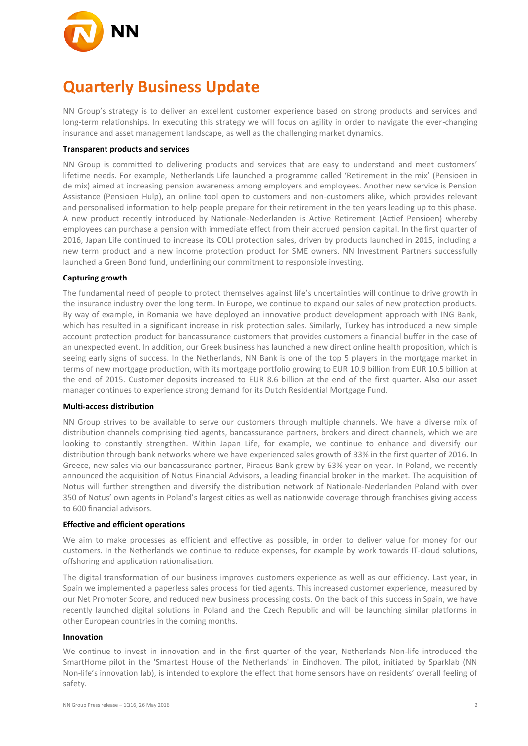

# **Quarterly Business Update**

NN Group's strategy is to deliver an excellent customer experience based on strong products and services and long-term relationships. In executing this strategy we will focus on agility in order to navigate the ever-changing insurance and asset management landscape, as well as the challenging market dynamics.

#### **Transparent products and services**

NN Group is committed to delivering products and services that are easy to understand and meet customers' lifetime needs. For example, Netherlands Life launched a programme called 'Retirement in the mix' (Pensioen in de mix) aimed at increasing pension awareness among employers and employees. Another new service is Pension Assistance (Pensioen Hulp), an online tool open to customers and non-customers alike, which provides relevant and personalised information to help people prepare for their retirement in the ten years leading up to this phase. A new product recently introduced by Nationale-Nederlanden is Active Retirement (Actief Pensioen) whereby employees can purchase a pension with immediate effect from their accrued pension capital. In the first quarter of 2016, Japan Life continued to increase its COLI protection sales, driven by products launched in 2015, including a new term product and a new income protection product for SME owners. NN Investment Partners successfully launched a Green Bond fund, underlining our commitment to responsible investing.

#### **Capturing growth**

The fundamental need of people to protect themselves against life's uncertainties will continue to drive growth in the insurance industry over the long term. In Europe, we continue to expand our sales of new protection products. By way of example, in Romania we have deployed an innovative product development approach with ING Bank, which has resulted in a significant increase in risk protection sales. Similarly, Turkey has introduced a new simple account protection product for bancassurance customers that provides customers a financial buffer in the case of an unexpected event. In addition, our Greek business has launched a new direct online health proposition, which is seeing early signs of success. In the Netherlands, NN Bank is one of the top 5 players in the mortgage market in terms of new mortgage production, with its mortgage portfolio growing to EUR 10.9 billion from EUR 10.5 billion at the end of 2015. Customer deposits increased to EUR 8.6 billion at the end of the first quarter. Also our asset manager continues to experience strong demand for its Dutch Residential Mortgage Fund.

#### **Multi-access distribution**

NN Group strives to be available to serve our customers through multiple channels. We have a diverse mix of distribution channels comprising tied agents, bancassurance partners, brokers and direct channels, which we are looking to constantly strengthen. Within Japan Life, for example, we continue to enhance and diversify our distribution through bank networks where we have experienced sales growth of 33% in the first quarter of 2016. In Greece, new sales via our bancassurance partner, Piraeus Bank grew by 63% year on year. In Poland, we recently announced the acquisition of Notus Financial Advisors, a leading financial broker in the market. The acquisition of Notus will further strengthen and diversify the distribution network of Nationale-Nederlanden Poland with over 350 of Notus' own agents in Poland's largest cities as well as nationwide coverage through franchises giving access to 600 financial advisors.

#### **Effective and efficient operations**

We aim to make processes as efficient and effective as possible, in order to deliver value for money for our customers. In the Netherlands we continue to reduce expenses, for example by work towards IT-cloud solutions, offshoring and application rationalisation.

The digital transformation of our business improves customers experience as well as our efficiency. Last year, in Spain we implemented a paperless sales process for tied agents. This increased customer experience, measured by our Net Promoter Score, and reduced new business processing costs. On the back of this success in Spain, we have recently launched digital solutions in Poland and the Czech Republic and will be launching similar platforms in other European countries in the coming months.

#### **Innovation**

We continue to invest in innovation and in the first quarter of the year, Netherlands Non-life introduced the SmartHome pilot in the 'Smartest House of the Netherlands' in Eindhoven. The pilot, initiated by Sparklab (NN Non-life's innovation lab), is intended to explore the effect that home sensors have on residents' overall feeling of safety.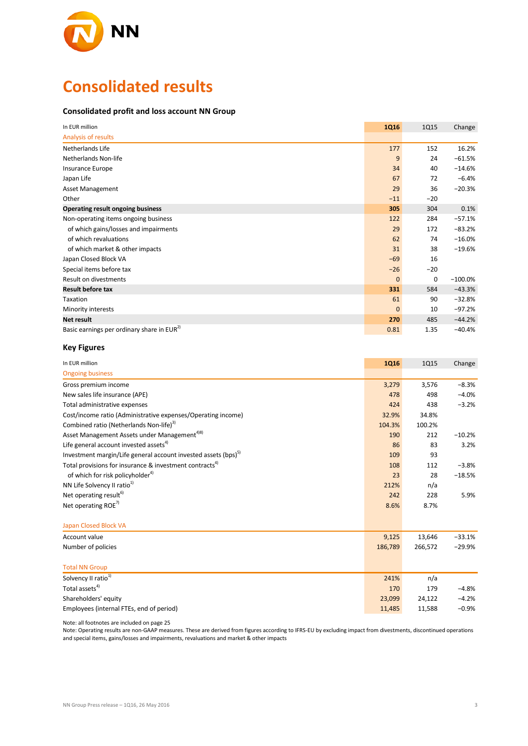

# **Consolidated results**

#### **Consolidated profit and loss account NN Group**

| In EUR million                                         | <b>1Q16</b> | <b>1Q15</b> | Change     |
|--------------------------------------------------------|-------------|-------------|------------|
| Analysis of results                                    |             |             |            |
| Netherlands Life                                       | 177         | 152         | 16.2%      |
| Netherlands Non-life                                   | 9           | 24          | $-61.5%$   |
| Insurance Europe                                       | 34          | 40          | $-14.6%$   |
| Japan Life                                             | 67          | 72          | $-6.4%$    |
| <b>Asset Management</b>                                | 29          | 36          | $-20.3%$   |
| Other                                                  | $-11$       | $-20$       |            |
| <b>Operating result ongoing business</b>               | 305         | 304         | 0.1%       |
| Non-operating items ongoing business                   | 122         | 284         | $-57.1%$   |
| of which gains/losses and impairments                  | 29          | 172         | $-83.2%$   |
| of which revaluations                                  | 62          | 74          | $-16.0%$   |
| of which market & other impacts                        | 31          | 38          | $-19.6%$   |
| Japan Closed Block VA                                  | $-69$       | 16          |            |
| Special items before tax                               | $-26$       | $-20$       |            |
| Result on divestments                                  | $\mathbf 0$ | 0           | $-100.0\%$ |
| <b>Result before tax</b>                               | 331         | 584         | $-43.3%$   |
| Taxation                                               | 61          | 90          | $-32.8%$   |
| Minority interests                                     | $\mathbf 0$ | 10          | $-97.2%$   |
| Net result                                             | 270         | 485         | $-44.2%$   |
| Basic earnings per ordinary share in EUR <sup>2)</sup> | 0.81        | 1.35        | $-40.4%$   |

#### **Key Figures**

| In EUR million                                                             | 1Q16    | 1Q15    | Change   |
|----------------------------------------------------------------------------|---------|---------|----------|
| <b>Ongoing business</b>                                                    |         |         |          |
| Gross premium income                                                       | 3,279   | 3,576   | $-8.3%$  |
| New sales life insurance (APE)                                             | 478     | 498     | $-4.0%$  |
| Total administrative expenses                                              | 424     | 438     | $-3.2%$  |
| Cost/income ratio (Administrative expenses/Operating income)               | 32.9%   | 34.8%   |          |
| Combined ratio (Netherlands Non-life) <sup>3)</sup>                        | 104.3%  | 100.2%  |          |
| Asset Management Assets under Management <sup>4)8)</sup>                   | 190     | 212     | $-10.2%$ |
| Life general account invested assets <sup>4)</sup>                         | 86      | 83      | 3.2%     |
| Investment margin/Life general account invested assets (bps) <sup>5)</sup> | 109     | 93      |          |
| Total provisions for insurance & investment contracts <sup>4)</sup>        | 108     | 112     | $-3.8%$  |
| of which for risk policyholder <sup>4)</sup>                               | 23      | 28      | $-18.5%$ |
| NN Life Solvency II ratio <sup>1)</sup>                                    | 212%    | n/a     |          |
| Net operating result <sup>6)</sup>                                         | 242     | 228     | 5.9%     |
| Net operating ROE <sup>7)</sup>                                            | 8.6%    | 8.7%    |          |
| Japan Closed Block VA                                                      |         |         |          |
| Account value                                                              | 9,125   | 13,646  | $-33.1%$ |
| Number of policies                                                         | 186,789 | 266,572 | $-29.9%$ |
| <b>Total NN Group</b>                                                      |         |         |          |
| Solvency II ratio <sup>1)</sup>                                            | 241%    | n/a     |          |
| Total assets <sup>4)</sup>                                                 | 170     | 179     | $-4.8%$  |
| Shareholders' equity                                                       | 23,099  | 24,122  | $-4.2%$  |
| Employees (internal FTEs, end of period)                                   | 11,485  | 11,588  | $-0.9%$  |

Note: all footnotes are included on page 25

Note: Operating results are non-GAAP measures. These are derived from figures according to IFRS-EU by excluding impact from divestments, discontinued operations and special items, gains/losses and impairments, revaluations and market & other impacts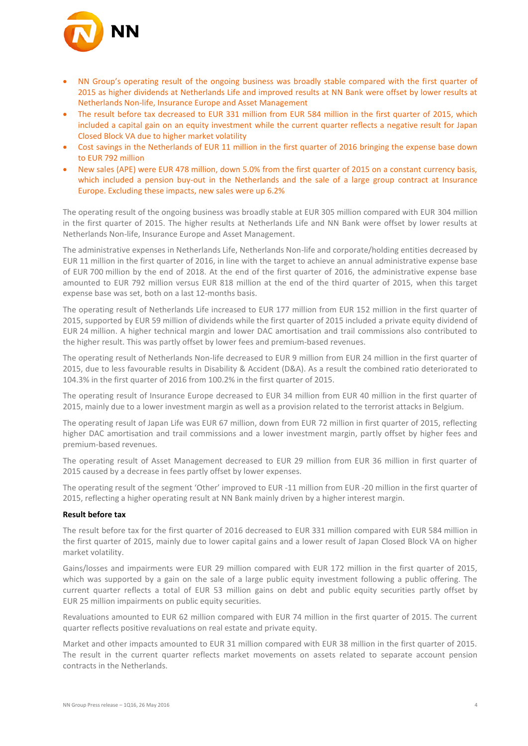

- NN Group's operating result of the ongoing business was broadly stable compared with the first quarter of 2015 as higher dividends at Netherlands Life and improved results at NN Bank were offset by lower results at Netherlands Non-life, Insurance Europe and Asset Management
- The result before tax decreased to EUR 331 million from EUR 584 million in the first quarter of 2015, which included a capital gain on an equity investment while the current quarter reflects a negative result for Japan Closed Block VA due to higher market volatility
- Cost savings in the Netherlands of EUR 11 million in the first quarter of 2016 bringing the expense base down to EUR 792 million
- New sales (APE) were EUR 478 million, down 5.0% from the first quarter of 2015 on a constant currency basis, which included a pension buy-out in the Netherlands and the sale of a large group contract at Insurance Europe. Excluding these impacts, new sales were up 6.2%

The operating result of the ongoing business was broadly stable at EUR 305 million compared with EUR 304 million in the first quarter of 2015. The higher results at Netherlands Life and NN Bank were offset by lower results at Netherlands Non-life, Insurance Europe and Asset Management.

The administrative expenses in Netherlands Life, Netherlands Non-life and corporate/holding entities decreased by EUR 11 million in the first quarter of 2016, in line with the target to achieve an annual administrative expense base of EUR 700 million by the end of 2018. At the end of the first quarter of 2016, the administrative expense base amounted to EUR 792 million versus EUR 818 million at the end of the third quarter of 2015, when this target expense base was set, both on a last 12-months basis.

The operating result of Netherlands Life increased to EUR 177 million from EUR 152 million in the first quarter of 2015, supported by EUR 59 million of dividends while the first quarter of 2015 included a private equity dividend of EUR 24 million. A higher technical margin and lower DAC amortisation and trail commissions also contributed to the higher result. This was partly offset by lower fees and premium-based revenues.

The operating result of Netherlands Non-life decreased to EUR 9 million from EUR 24 million in the first quarter of 2015, due to less favourable results in Disability & Accident (D&A). As a result the combined ratio deteriorated to 104.3% in the first quarter of 2016 from 100.2% in the first quarter of 2015.

The operating result of Insurance Europe decreased to EUR 34 million from EUR 40 million in the first quarter of 2015, mainly due to a lower investment margin as well as a provision related to the terrorist attacks in Belgium.

The operating result of Japan Life was EUR 67 million, down from EUR 72 million in first quarter of 2015, reflecting higher DAC amortisation and trail commissions and a lower investment margin, partly offset by higher fees and premium-based revenues.

The operating result of Asset Management decreased to EUR 29 million from EUR 36 million in first quarter of 2015 caused by a decrease in fees partly offset by lower expenses.

The operating result of the segment 'Other' improved to EUR -11 million from EUR -20 million in the first quarter of 2015, reflecting a higher operating result at NN Bank mainly driven by a higher interest margin.

#### **Result before tax**

The result before tax for the first quarter of 2016 decreased to EUR 331 million compared with EUR 584 million in the first quarter of 2015, mainly due to lower capital gains and a lower result of Japan Closed Block VA on higher market volatility.

Gains/losses and impairments were EUR 29 million compared with EUR 172 million in the first quarter of 2015, which was supported by a gain on the sale of a large public equity investment following a public offering. The current quarter reflects a total of EUR 53 million gains on debt and public equity securities partly offset by EUR 25 million impairments on public equity securities.

Revaluations amounted to EUR 62 million compared with EUR 74 million in the first quarter of 2015. The current quarter reflects positive revaluations on real estate and private equity.

Market and other impacts amounted to EUR 31 million compared with EUR 38 million in the first quarter of 2015. The result in the current quarter reflects market movements on assets related to separate account pension contracts in the Netherlands.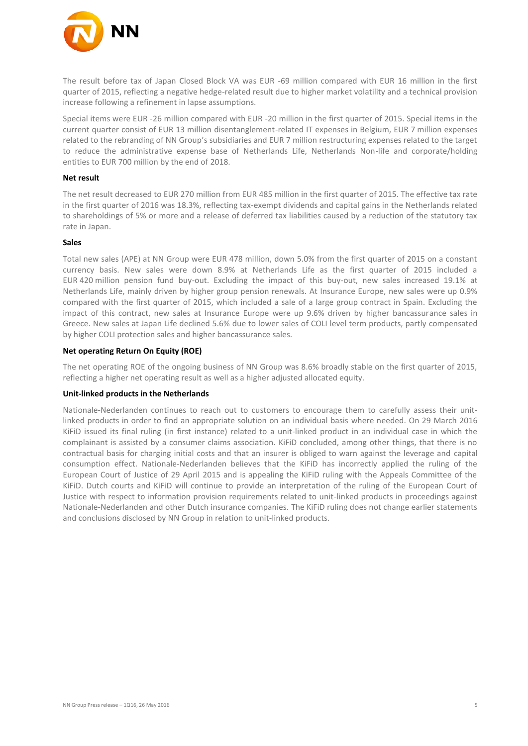

The result before tax of Japan Closed Block VA was EUR -69 million compared with EUR 16 million in the first quarter of 2015, reflecting a negative hedge-related result due to higher market volatility and a technical provision increase following a refinement in lapse assumptions.

Special items were EUR -26 million compared with EUR -20 million in the first quarter of 2015. Special items in the current quarter consist of EUR 13 million disentanglement-related IT expenses in Belgium, EUR 7 million expenses related to the rebranding of NN Group's subsidiaries and EUR 7 million restructuring expenses related to the target to reduce the administrative expense base of Netherlands Life, Netherlands Non-life and corporate/holding entities to EUR 700 million by the end of 2018.

#### **Net result**

The net result decreased to EUR 270 million from EUR 485 million in the first quarter of 2015. The effective tax rate in the first quarter of 2016 was 18.3%, reflecting tax-exempt dividends and capital gains in the Netherlands related to shareholdings of 5% or more and a release of deferred tax liabilities caused by a reduction of the statutory tax rate in Japan.

#### **Sales**

Total new sales (APE) at NN Group were EUR 478 million, down 5.0% from the first quarter of 2015 on a constant currency basis. New sales were down 8.9% at Netherlands Life as the first quarter of 2015 included a EUR 420 million pension fund buy-out. Excluding the impact of this buy-out, new sales increased 19.1% at Netherlands Life, mainly driven by higher group pension renewals. At Insurance Europe, new sales were up 0.9% compared with the first quarter of 2015, which included a sale of a large group contract in Spain. Excluding the impact of this contract, new sales at Insurance Europe were up 9.6% driven by higher bancassurance sales in Greece. New sales at Japan Life declined 5.6% due to lower sales of COLI level term products, partly compensated by higher COLI protection sales and higher bancassurance sales.

#### **Net operating Return On Equity (ROE)**

The net operating ROE of the ongoing business of NN Group was 8.6% broadly stable on the first quarter of 2015, reflecting a higher net operating result as well as a higher adjusted allocated equity.

#### **Unit-linked products in the Netherlands**

Nationale-Nederlanden continues to reach out to customers to encourage them to carefully assess their unitlinked products in order to find an appropriate solution on an individual basis where needed. On 29 March 2016 KiFiD issued its final ruling (in first instance) related to a unit-linked product in an individual case in which the complainant is assisted by a consumer claims association. KiFiD concluded, among other things, that there is no contractual basis for charging initial costs and that an insurer is obliged to warn against the leverage and capital consumption effect. Nationale-Nederlanden believes that the KiFiD has incorrectly applied the ruling of the European Court of Justice of 29 April 2015 and is appealing the KiFiD ruling with the Appeals Committee of the KiFiD. Dutch courts and KiFiD will continue to provide an interpretation of the ruling of the European Court of Justice with respect to information provision requirements related to unit-linked products in proceedings against Nationale-Nederlanden and other Dutch insurance companies. The KiFiD ruling does not change earlier statements and conclusions disclosed by NN Group in relation to unit-linked products.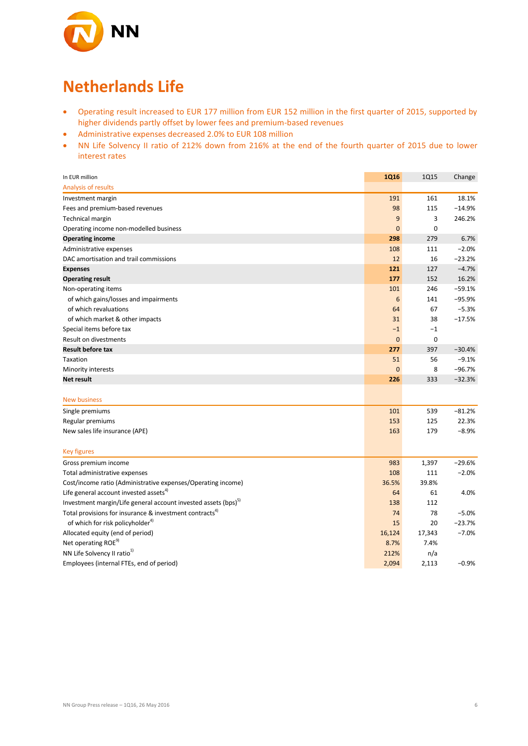

## **Netherlands Life**

- Operating result increased to EUR 177 million from EUR 152 million in the first quarter of 2015, supported by higher dividends partly offset by lower fees and premium-based revenues
- Administrative expenses decreased 2.0% to EUR 108 million
- NN Life Solvency II ratio of 212% down from 216% at the end of the fourth quarter of 2015 due to lower interest rates

| In EUR million                                                             | 1Q16           | <b>1Q15</b> | Change   |
|----------------------------------------------------------------------------|----------------|-------------|----------|
| <b>Analysis of results</b>                                                 |                |             |          |
| Investment margin                                                          | 191            | 161         | 18.1%    |
| Fees and premium-based revenues                                            | 98             | 115         | $-14.9%$ |
| <b>Technical margin</b>                                                    | $9\,$          | 3           | 246.2%   |
| Operating income non-modelled business                                     | $\mathbf 0$    | 0           |          |
| <b>Operating income</b>                                                    | 298            | 279         | 6.7%     |
| Administrative expenses                                                    | 108            | 111         | $-2.0%$  |
| DAC amortisation and trail commissions                                     | 12             | 16          | $-23.2%$ |
| <b>Expenses</b>                                                            | 121            | 127         | $-4.7%$  |
| <b>Operating result</b>                                                    | 177            | 152         | 16.2%    |
| Non-operating items                                                        | 101            | 246         | $-59.1%$ |
| of which gains/losses and impairments                                      | 6              | 141         | $-95.9%$ |
| of which revaluations                                                      | 64             | 67          | $-5.3%$  |
| of which market & other impacts                                            | 31             | 38          | $-17.5%$ |
| Special items before tax                                                   | $-1$           | $-1$        |          |
| <b>Result on divestments</b>                                               | $\overline{0}$ | 0           |          |
| <b>Result before tax</b>                                                   | 277            | 397         | $-30.4%$ |
| Taxation                                                                   | 51             | 56          | $-9.1%$  |
| Minority interests                                                         | $\mathbf 0$    | 8           | $-96.7%$ |
| Net result                                                                 | 226            | 333         | $-32.3%$ |
|                                                                            |                |             |          |
| <b>New business</b>                                                        |                |             |          |
| Single premiums                                                            | 101            | 539         | $-81.2%$ |
| Regular premiums                                                           | 153            | 125         | 22.3%    |
| New sales life insurance (APE)                                             | 163            | 179         | $-8.9%$  |
| <b>Key figures</b>                                                         |                |             |          |
| Gross premium income                                                       | 983            | 1,397       | $-29.6%$ |
| Total administrative expenses                                              | 108            | 111         | $-2.0%$  |
| Cost/income ratio (Administrative expenses/Operating income)               | 36.5%          | 39.8%       |          |
| Life general account invested assets <sup>4)</sup>                         | 64             | 61          | 4.0%     |
| Investment margin/Life general account invested assets (bps) <sup>5)</sup> | 138            | 112         |          |
| Total provisions for insurance & investment contracts <sup>4)</sup>        | 74             | 78          | $-5.0%$  |
| of which for risk policyholder <sup>4)</sup>                               | 15             | 20          | $-23.7%$ |
| Allocated equity (end of period)                                           | 16,124         | 17,343      | $-7.0%$  |
| Net operating ROE <sup>9)</sup>                                            | 8.7%           | 7.4%        |          |
| NN Life Solvency II ratio <sup>1)</sup>                                    | 212%           | n/a         |          |
| Employees (internal FTEs, end of period)                                   | 2,094          | 2,113       | $-0.9%$  |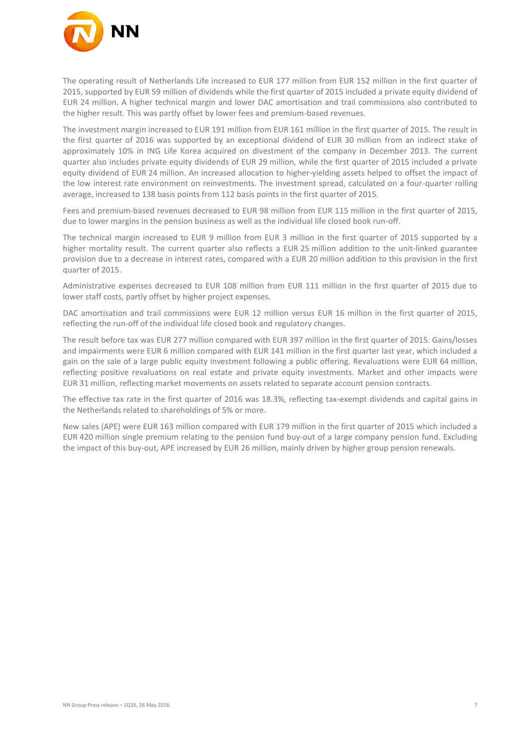

The operating result of Netherlands Life increased to EUR 177 million from EUR 152 million in the first quarter of 2015, supported by EUR 59 million of dividends while the first quarter of 2015 included a private equity dividend of EUR 24 million. A higher technical margin and lower DAC amortisation and trail commissions also contributed to the higher result. This was partly offset by lower fees and premium-based revenues.

The investment margin increased to EUR 191 million from EUR 161 million in the first quarter of 2015. The result in the first quarter of 2016 was supported by an exceptional dividend of EUR 30 million from an indirect stake of approximately 10% in ING Life Korea acquired on divestment of the company in December 2013. The current quarter also includes private equity dividends of EUR 29 million, while the first quarter of 2015 included a private equity dividend of EUR 24 million. An increased allocation to higher-yielding assets helped to offset the impact of the low interest rate environment on reinvestments. The investment spread, calculated on a four-quarter rolling average, increased to 138 basis points from 112 basis points in the first quarter of 2015.

Fees and premium-based revenues decreased to EUR 98 million from EUR 115 million in the first quarter of 2015, due to lower margins in the pension business as well as the individual life closed book run-off.

The technical margin increased to EUR 9 million from EUR 3 million in the first quarter of 2015 supported by a higher mortality result. The current quarter also reflects a EUR 25 million addition to the unit-linked guarantee provision due to a decrease in interest rates, compared with a EUR 20 million addition to this provision in the first quarter of 2015.

Administrative expenses decreased to EUR 108 million from EUR 111 million in the first quarter of 2015 due to lower staff costs, partly offset by higher project expenses.

DAC amortisation and trail commissions were EUR 12 million versus EUR 16 million in the first quarter of 2015, reflecting the run-off of the individual life closed book and regulatory changes.

The result before tax was EUR 277 million compared with EUR 397 million in the first quarter of 2015. Gains/losses and impairments were EUR 6 million compared with EUR 141 million in the first quarter last year, which included a gain on the sale of a large public equity investment following a public offering. Revaluations were EUR 64 million, reflecting positive revaluations on real estate and private equity investments. Market and other impacts were EUR 31 million, reflecting market movements on assets related to separate account pension contracts.

The effective tax rate in the first quarter of 2016 was 18.3%, reflecting tax-exempt dividends and capital gains in the Netherlands related to shareholdings of 5% or more.

New sales (APE) were EUR 163 million compared with EUR 179 million in the first quarter of 2015 which included a EUR 420 million single premium relating to the pension fund buy-out of a large company pension fund. Excluding the impact of this buy-out, APE increased by EUR 26 million, mainly driven by higher group pension renewals.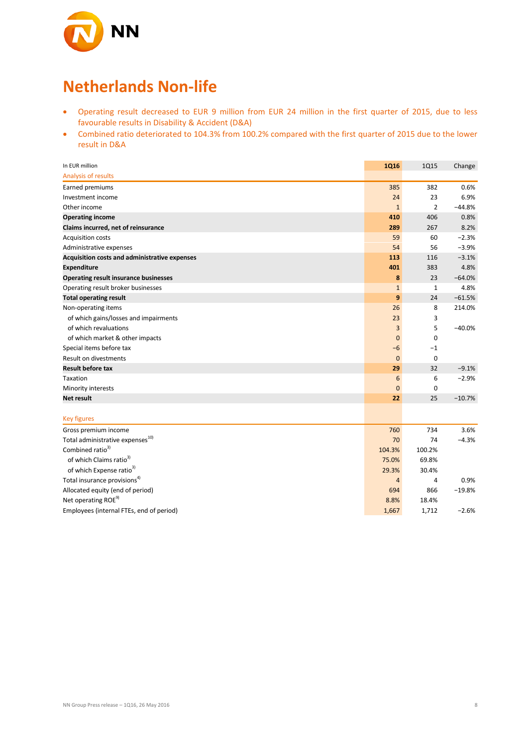

# **Netherlands Non-life**

- Operating result decreased to EUR 9 million from EUR 24 million in the first quarter of 2015, due to less favourable results in Disability & Accident (D&A)
- Combined ratio deteriorated to 104.3% from 100.2% compared with the first quarter of 2015 due to the lower result in D&A

| In EUR million                                | <b>1Q16</b>  | <b>1Q15</b>    | Change   |
|-----------------------------------------------|--------------|----------------|----------|
| Analysis of results                           |              |                |          |
| Earned premiums                               | 385          | 382            | 0.6%     |
| Investment income                             | 24           | 23             | 6.9%     |
| Other income                                  | $\mathbf{1}$ | $\overline{2}$ | $-44.8%$ |
| <b>Operating income</b>                       | 410          | 406            | 0.8%     |
| Claims incurred, net of reinsurance           | 289          | 267            | 8.2%     |
| <b>Acquisition costs</b>                      | 59           | 60             | $-2.3%$  |
| Administrative expenses                       | 54           | 56             | $-3.9%$  |
| Acquisition costs and administrative expenses | 113          | 116            | $-3.1%$  |
| <b>Expenditure</b>                            | 401          | 383            | 4.8%     |
| <b>Operating result insurance businesses</b>  | 8            | 23             | $-64.0%$ |
| Operating result broker businesses            | $\mathbf{1}$ | $\mathbf{1}$   | 4.8%     |
| <b>Total operating result</b>                 | 9            | 24             | $-61.5%$ |
| Non-operating items                           | 26           | 8              | 214.0%   |
| of which gains/losses and impairments         | 23           | 3              |          |
| of which revaluations                         | 3            | 5              | $-40.0%$ |
| of which market & other impacts               | $\mathbf{0}$ | $\mathbf 0$    |          |
| Special items before tax                      | -6           | $^{-1}$        |          |
| <b>Result on divestments</b>                  | $\mathbf{0}$ | $\mathbf 0$    |          |
| <b>Result before tax</b>                      | 29           | 32             | $-9.1%$  |
| Taxation                                      | 6            | 6              | $-2.9%$  |
| Minority interests                            | $\mathbf{0}$ | $\mathbf 0$    |          |
| <b>Net result</b>                             | 22           | 25             | $-10.7%$ |
|                                               |              |                |          |
| <b>Key figures</b>                            |              |                |          |
| Gross premium income                          | 760          | 734            | 3.6%     |
| Total administrative expenses <sup>10)</sup>  | 70           | 74             | $-4.3%$  |
| Combined ratio <sup>3)</sup>                  | 104.3%       | 100.2%         |          |
| of which Claims ratio <sup>3)</sup>           | 75.0%        | 69.8%          |          |
| of which Expense ratio <sup>3)</sup>          | 29.3%        | 30.4%          |          |
| Total insurance provisions <sup>4)</sup>      | 4            | 4              | 0.9%     |
| Allocated equity (end of period)              | 694          | 866            | $-19.8%$ |
| Net operating ROE <sup>9)</sup>               | 8.8%         | 18.4%          |          |
| Employees (internal FTEs, end of period)      | 1,667        | 1,712          | $-2.6%$  |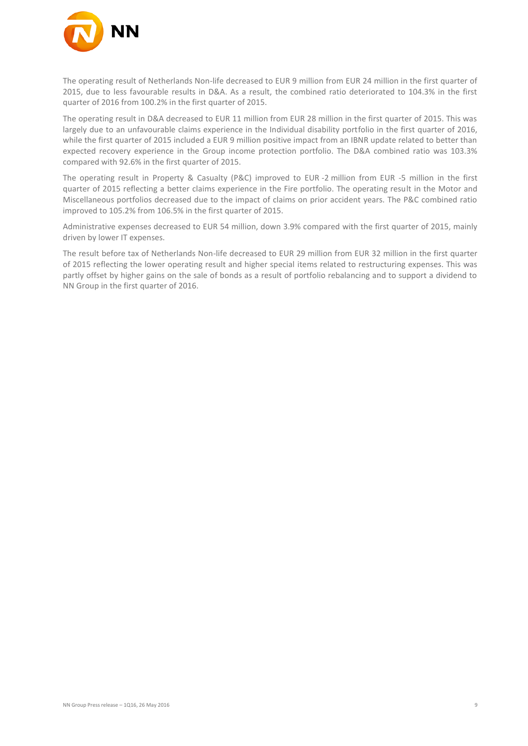

The operating result of Netherlands Non-life decreased to EUR 9 million from EUR 24 million in the first quarter of 2015, due to less favourable results in D&A. As a result, the combined ratio deteriorated to 104.3% in the first quarter of 2016 from 100.2% in the first quarter of 2015.

The operating result in D&A decreased to EUR 11 million from EUR 28 million in the first quarter of 2015. This was largely due to an unfavourable claims experience in the Individual disability portfolio in the first quarter of 2016, while the first quarter of 2015 included a EUR 9 million positive impact from an IBNR update related to better than expected recovery experience in the Group income protection portfolio. The D&A combined ratio was 103.3% compared with 92.6% in the first quarter of 2015.

The operating result in Property & Casualty (P&C) improved to EUR -2 million from EUR -5 million in the first quarter of 2015 reflecting a better claims experience in the Fire portfolio. The operating result in the Motor and Miscellaneous portfolios decreased due to the impact of claims on prior accident years. The P&C combined ratio improved to 105.2% from 106.5% in the first quarter of 2015.

Administrative expenses decreased to EUR 54 million, down 3.9% compared with the first quarter of 2015, mainly driven by lower IT expenses.

The result before tax of Netherlands Non-life decreased to EUR 29 million from EUR 32 million in the first quarter of 2015 reflecting the lower operating result and higher special items related to restructuring expenses. This was partly offset by higher gains on the sale of bonds as a result of portfolio rebalancing and to support a dividend to NN Group in the first quarter of 2016.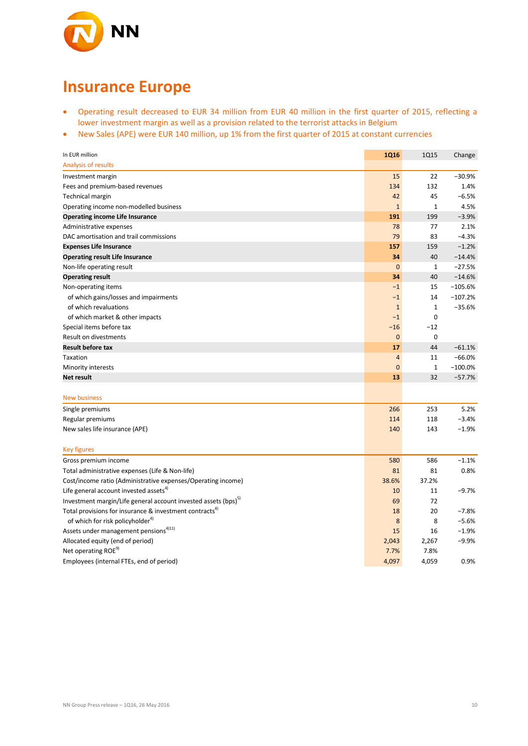

# **Insurance Europe**

- Operating result decreased to EUR 34 million from EUR 40 million in the first quarter of 2015, reflecting a lower investment margin as well as a provision related to the terrorist attacks in Belgium
- New Sales (APE) were EUR 140 million, up 1% from the first quarter of 2015 at constant currencies

| In EUR million                                                             | 1Q16           | <b>1Q15</b>  | Change    |
|----------------------------------------------------------------------------|----------------|--------------|-----------|
| Analysis of results                                                        |                |              |           |
| Investment margin                                                          | 15             | 22           | $-30.9%$  |
| Fees and premium-based revenues                                            | 134            | 132          | 1.4%      |
| <b>Technical margin</b>                                                    | 42             | 45           | $-6.5%$   |
| Operating income non-modelled business                                     | $\mathbf{1}$   | $\mathbf{1}$ | 4.5%      |
| <b>Operating income Life Insurance</b>                                     | 191            | 199          | $-3.9%$   |
| Administrative expenses                                                    | 78             | 77           | 2.1%      |
| DAC amortisation and trail commissions                                     | 79             | 83           | $-4.3%$   |
| <b>Expenses Life Insurance</b>                                             | 157            | 159          | $-1.2%$   |
| <b>Operating result Life Insurance</b>                                     | 34             | 40           | $-14.4%$  |
| Non-life operating result                                                  | $\mathbf{0}$   | $\mathbf{1}$ | $-27.5%$  |
| <b>Operating result</b>                                                    | 34             | 40           | $-14.6%$  |
| Non-operating items                                                        | $-1$           | 15           | $-105.6%$ |
| of which gains/losses and impairments                                      | $-1$           | 14           | $-107.2%$ |
| of which revaluations                                                      | $\mathbf{1}$   | $\mathbf{1}$ | $-35.6%$  |
| of which market & other impacts                                            | $-1$           | $\mathbf 0$  |           |
| Special items before tax                                                   | $-16$          | $-12$        |           |
| Result on divestments                                                      | $\mathbf 0$    | 0            |           |
| <b>Result before tax</b>                                                   | 17             | 44           | $-61.1%$  |
| Taxation                                                                   | $\overline{4}$ | 11           | $-66.0%$  |
| Minority interests                                                         | $\mathbf{0}$   | $\mathbf{1}$ | $-100.0%$ |
| Net result                                                                 | 13             | 32           | $-57.7%$  |
|                                                                            |                |              |           |
| <b>New business</b>                                                        |                |              |           |
| Single premiums                                                            | 266            | 253          | 5.2%      |
| Regular premiums                                                           | 114            | 118          | $-3.4%$   |
| New sales life insurance (APE)                                             | 140            | 143          | $-1.9%$   |
|                                                                            |                |              |           |
| <b>Key figures</b>                                                         |                |              |           |
| Gross premium income                                                       | 580            | 586          | $-1.1%$   |
| Total administrative expenses (Life & Non-life)                            | 81             | 81           | 0.8%      |
| Cost/income ratio (Administrative expenses/Operating income)               | 38.6%          | 37.2%        |           |
| Life general account invested assets <sup>4)</sup>                         | 10             | 11           | $-9.7%$   |
| Investment margin/Life general account invested assets (bps) <sup>51</sup> | 69             | 72           |           |
| Total provisions for insurance & investment contracts <sup>4)</sup>        | 18             | 20           | $-7.8%$   |
| of which for risk policyholder <sup>4)</sup>                               | 8              | 8            | $-5.6%$   |
| Assets under management pensions <sup>4)11)</sup>                          | 15             | 16           | $-1.9%$   |
| Allocated equity (end of period)                                           | 2,043          | 2,267        | $-9.9%$   |
| Net operating ROE <sup>9)</sup>                                            | 7.7%           | 7.8%         |           |
| Employees (internal FTEs, end of period)                                   | 4,097          | 4,059        | 0.9%      |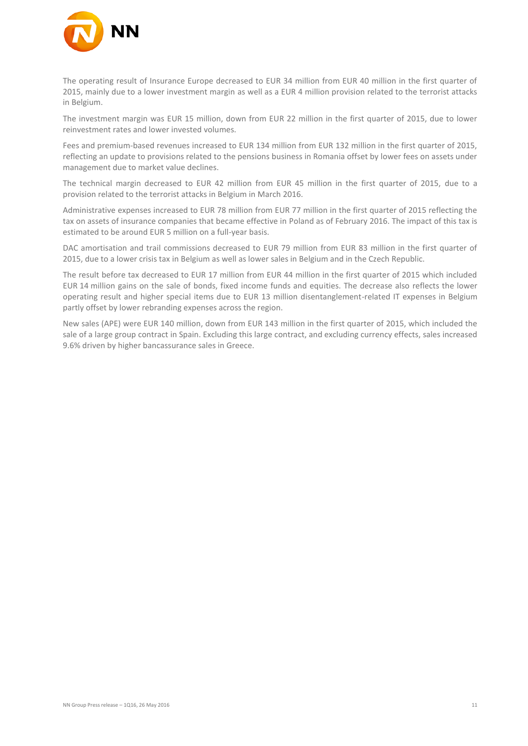

The operating result of Insurance Europe decreased to EUR 34 million from EUR 40 million in the first quarter of 2015, mainly due to a lower investment margin as well as a EUR 4 million provision related to the terrorist attacks in Belgium.

The investment margin was EUR 15 million, down from EUR 22 million in the first quarter of 2015, due to lower reinvestment rates and lower invested volumes.

Fees and premium-based revenues increased to EUR 134 million from EUR 132 million in the first quarter of 2015, reflecting an update to provisions related to the pensions business in Romania offset by lower fees on assets under management due to market value declines.

The technical margin decreased to EUR 42 million from EUR 45 million in the first quarter of 2015, due to a provision related to the terrorist attacks in Belgium in March 2016.

Administrative expenses increased to EUR 78 million from EUR 77 million in the first quarter of 2015 reflecting the tax on assets of insurance companies that became effective in Poland as of February 2016. The impact of this tax is estimated to be around EUR 5 million on a full-year basis.

DAC amortisation and trail commissions decreased to EUR 79 million from EUR 83 million in the first quarter of 2015, due to a lower crisis tax in Belgium as well as lower sales in Belgium and in the Czech Republic.

The result before tax decreased to EUR 17 million from EUR 44 million in the first quarter of 2015 which included EUR 14 million gains on the sale of bonds, fixed income funds and equities. The decrease also reflects the lower operating result and higher special items due to EUR 13 million disentanglement-related IT expenses in Belgium partly offset by lower rebranding expenses across the region.

New sales (APE) were EUR 140 million, down from EUR 143 million in the first quarter of 2015, which included the sale of a large group contract in Spain. Excluding this large contract, and excluding currency effects, sales increased 9.6% driven by higher bancassurance sales in Greece.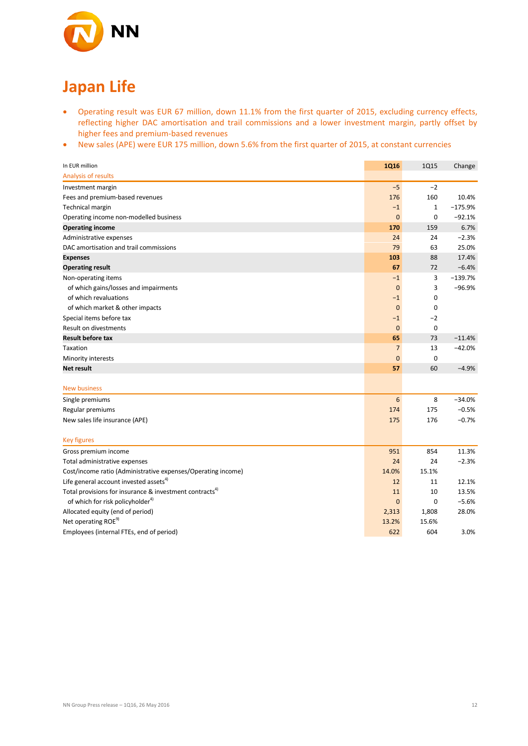

# **Japan Life**

- Operating result was EUR 67 million, down 11.1% from the first quarter of 2015, excluding currency effects, reflecting higher DAC amortisation and trail commissions and a lower investment margin, partly offset by higher fees and premium-based revenues
- New sales (APE) were EUR 175 million, down 5.6% from the first quarter of 2015, at constant currencies

| In EUR million                                                      | <b>1Q16</b>     | <b>1Q15</b>  | Change    |
|---------------------------------------------------------------------|-----------------|--------------|-----------|
| Analysis of results                                                 |                 |              |           |
| Investment margin                                                   | $-5$            | $-2$         |           |
| Fees and premium-based revenues                                     | 176             | 160          | 10.4%     |
| Technical margin                                                    | $-1$            | $\mathbf{1}$ | $-175.9%$ |
| Operating income non-modelled business                              | $\mathbf{0}$    | $\mathbf 0$  | $-92.1%$  |
| <b>Operating income</b>                                             | 170             | 159          | 6.7%      |
| Administrative expenses                                             | 24              | 24           | $-2.3%$   |
| DAC amortisation and trail commissions                              | 79              | 63           | 25.0%     |
| <b>Expenses</b>                                                     | 103             | 88           | 17.4%     |
| <b>Operating result</b>                                             | 67              | 72           | $-6.4%$   |
| Non-operating items                                                 | $-1$            | 3            | $-139.7%$ |
| of which gains/losses and impairments                               | $\mathbf{0}$    | 3            | $-96.9%$  |
| of which revaluations                                               | $-1$            | $\mathbf 0$  |           |
| of which market & other impacts                                     | $\mathbf 0$     | $\mathbf 0$  |           |
| Special items before tax                                            | $-1$            | $-2$         |           |
| Result on divestments                                               | $\mathbf 0$     | $\mathbf 0$  |           |
| <b>Result before tax</b>                                            | 65              | 73           | $-11.4%$  |
| Taxation                                                            | $\overline{7}$  | 13           | $-42.0%$  |
| Minority interests                                                  | $\mathbf{0}$    | $\mathbf 0$  |           |
| Net result                                                          | 57              | 60           | $-4.9%$   |
| <b>New business</b>                                                 |                 |              |           |
| Single premiums                                                     | $6\phantom{1}6$ | 8            | $-34.0%$  |
| Regular premiums                                                    | 174             | 175          | $-0.5%$   |
| New sales life insurance (APE)                                      | 175             | 176          | $-0.7%$   |
|                                                                     |                 |              |           |
| <b>Key figures</b>                                                  |                 |              |           |
| Gross premium income                                                | 951             | 854          | 11.3%     |
| Total administrative expenses                                       | 24              | 24           | $-2.3%$   |
| Cost/income ratio (Administrative expenses/Operating income)        | 14.0%           | 15.1%        |           |
| Life general account invested assets <sup>4)</sup>                  | 12              | 11           | 12.1%     |
| Total provisions for insurance & investment contracts <sup>4)</sup> | 11              | 10           | 13.5%     |
| of which for risk policyholder <sup>4)</sup>                        | $\mathbf{0}$    | $\mathbf 0$  | $-5.6%$   |
| Allocated equity (end of period)                                    | 2,313           | 1,808        | 28.0%     |
| Net operating ROE <sup>9)</sup>                                     | 13.2%           | 15.6%        |           |
| Employees (internal FTEs, end of period)                            | 622             | 604          | 3.0%      |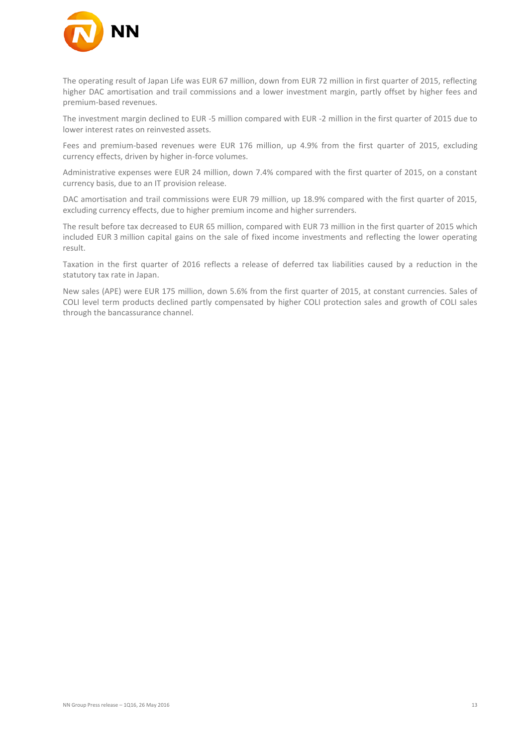

The operating result of Japan Life was EUR 67 million, down from EUR 72 million in first quarter of 2015, reflecting higher DAC amortisation and trail commissions and a lower investment margin, partly offset by higher fees and premium-based revenues.

The investment margin declined to EUR -5 million compared with EUR -2 million in the first quarter of 2015 due to lower interest rates on reinvested assets.

Fees and premium-based revenues were EUR 176 million, up 4.9% from the first quarter of 2015, excluding currency effects, driven by higher in-force volumes.

Administrative expenses were EUR 24 million, down 7.4% compared with the first quarter of 2015, on a constant currency basis, due to an IT provision release.

DAC amortisation and trail commissions were EUR 79 million, up 18.9% compared with the first quarter of 2015, excluding currency effects, due to higher premium income and higher surrenders.

The result before tax decreased to EUR 65 million, compared with EUR 73 million in the first quarter of 2015 which included EUR 3 million capital gains on the sale of fixed income investments and reflecting the lower operating result.

Taxation in the first quarter of 2016 reflects a release of deferred tax liabilities caused by a reduction in the statutory tax rate in Japan.

New sales (APE) were EUR 175 million, down 5.6% from the first quarter of 2015, at constant currencies. Sales of COLI level term products declined partly compensated by higher COLI protection sales and growth of COLI sales through the bancassurance channel.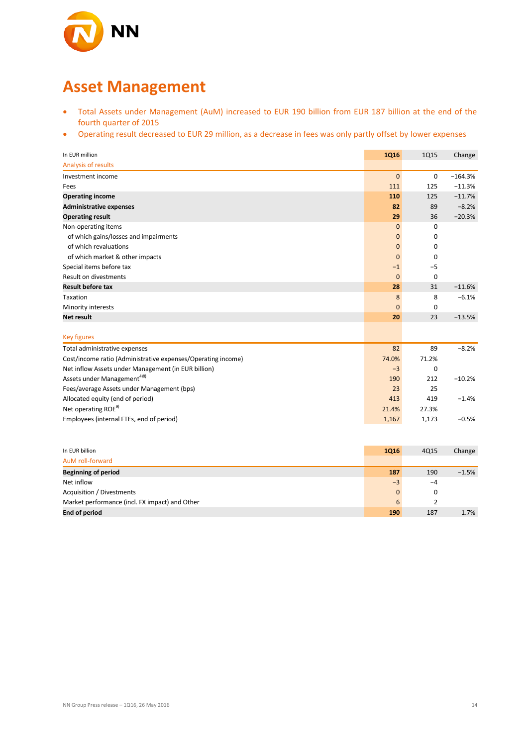

## **Asset Management**

- Total Assets under Management (AuM) increased to EUR 190 billion from EUR 187 billion at the end of the fourth quarter of 2015
- Operating result decreased to EUR 29 million, as a decrease in fees was only partly offset by lower expenses

| In EUR million                                               | <b>1Q16</b>  | <b>1Q15</b> | Change    |
|--------------------------------------------------------------|--------------|-------------|-----------|
| Analysis of results                                          |              |             |           |
| Investment income                                            | $\mathbf{0}$ | $\mathbf 0$ | $-164.3%$ |
| Fees                                                         | 111          | 125         | $-11.3%$  |
| <b>Operating income</b>                                      | 110          | 125         | $-11.7%$  |
| <b>Administrative expenses</b>                               | 82           | 89          | $-8.2%$   |
| <b>Operating result</b>                                      | 29           | 36          | $-20.3%$  |
| Non-operating items                                          | $\mathbf{0}$ | 0           |           |
| of which gains/losses and impairments                        | $\mathbf 0$  | 0           |           |
| of which revaluations                                        | $\mathbf{0}$ | 0           |           |
| of which market & other impacts                              | $\mathbf{0}$ | 0           |           |
| Special items before tax                                     | $-1$         | $-5$        |           |
| Result on divestments                                        | $\mathbf{0}$ | $\mathbf 0$ |           |
| <b>Result before tax</b>                                     | 28           | 31          | $-11.6%$  |
| Taxation                                                     | 8            | 8           | $-6.1%$   |
| Minority interests                                           | $\mathbf{0}$ | $\mathbf 0$ |           |
| <b>Net result</b>                                            | 20           | 23          | $-13.5%$  |
| <b>Key figures</b>                                           |              |             |           |
| Total administrative expenses                                | 82           | 89          | $-8.2%$   |
| Cost/income ratio (Administrative expenses/Operating income) | 74.0%        | 71.2%       |           |
| Net inflow Assets under Management (in EUR billion)          | $-3$         | $\mathbf 0$ |           |
| Assets under Management <sup>4)8)</sup>                      | 190          | 212         | $-10.2%$  |
| Fees/average Assets under Management (bps)                   | 23           | 25          |           |
| Allocated equity (end of period)                             | 413          | 419         | $-1.4%$   |
| Net operating ROE <sup>9)</sup>                              | 21.4%        | 27.3%       |           |
| Employees (internal FTEs, end of period)                     | 1,167        | 1,173       | $-0.5%$   |

| In EUR billion                                 | <b>1Q16</b>  | 4Q15 | Change  |
|------------------------------------------------|--------------|------|---------|
| AuM roll-forward                               |              |      |         |
| <b>Beginning of period</b>                     | 187          | 190  | $-1.5%$ |
| Net inflow                                     | $-3$         | $-4$ |         |
| Acquisition / Divestments                      | $\mathbf{0}$ | 0    |         |
| Market performance (incl. FX impact) and Other | 6            |      |         |
| <b>End of period</b>                           | 190          | 187  | 1.7%    |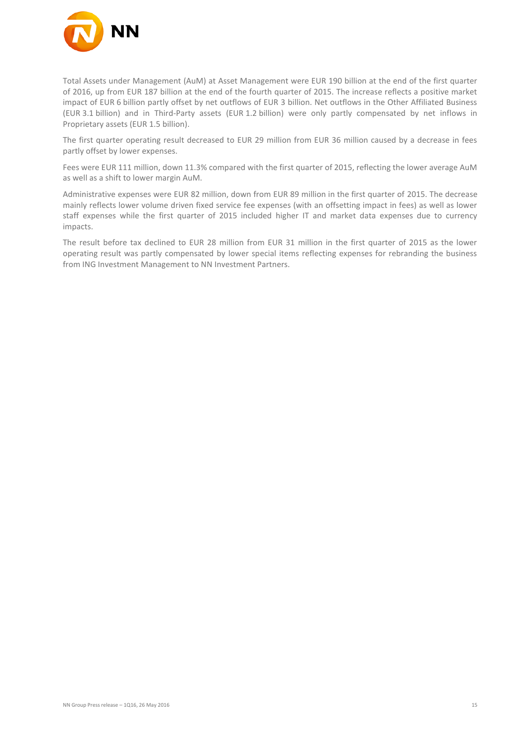

Total Assets under Management (AuM) at Asset Management were EUR 190 billion at the end of the first quarter of 2016, up from EUR 187 billion at the end of the fourth quarter of 2015. The increase reflects a positive market impact of EUR 6 billion partly offset by net outflows of EUR 3 billion. Net outflows in the Other Affiliated Business (EUR 3.1 billion) and in Third-Party assets (EUR 1.2 billion) were only partly compensated by net inflows in Proprietary assets (EUR 1.5 billion).

The first quarter operating result decreased to EUR 29 million from EUR 36 million caused by a decrease in fees partly offset by lower expenses.

Fees were EUR 111 million, down 11.3% compared with the first quarter of 2015, reflecting the lower average AuM as well as a shift to lower margin AuM.

Administrative expenses were EUR 82 million, down from EUR 89 million in the first quarter of 2015. The decrease mainly reflects lower volume driven fixed service fee expenses (with an offsetting impact in fees) as well as lower staff expenses while the first quarter of 2015 included higher IT and market data expenses due to currency impacts.

The result before tax declined to EUR 28 million from EUR 31 million in the first quarter of 2015 as the lower operating result was partly compensated by lower special items reflecting expenses for rebranding the business from ING Investment Management to NN Investment Partners.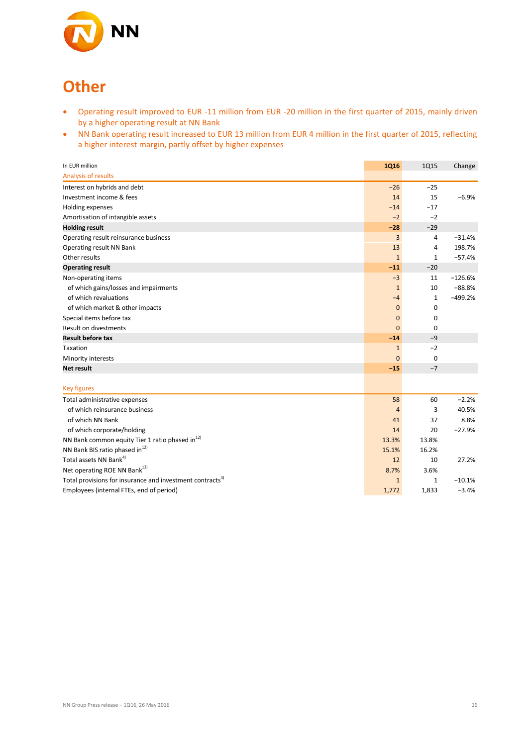

# **Other**

- Operating result improved to EUR -11 million from EUR -20 million in the first quarter of 2015, mainly driven by a higher operating result at NN Bank
- NN Bank operating result increased to EUR 13 million from EUR 4 million in the first quarter of 2015, reflecting a higher interest margin, partly offset by higher expenses

| In EUR million                                                       | <b>1Q16</b>    | <b>1Q15</b>  | Change    |
|----------------------------------------------------------------------|----------------|--------------|-----------|
| Analysis of results                                                  |                |              |           |
| Interest on hybrids and debt                                         | $-26$          | $-25$        |           |
| Investment income & fees                                             | 14             | 15           | $-6.9%$   |
| Holding expenses                                                     | $-14$          | $-17$        |           |
| Amortisation of intangible assets                                    | $-2$           | $-2$         |           |
| <b>Holding result</b>                                                | $-28$          | $-29$        |           |
| Operating result reinsurance business                                | 3              | 4            | $-31.4%$  |
| Operating result NN Bank                                             | 13             | 4            | 198.7%    |
| Other results                                                        | $\mathbf{1}$   | $\mathbf{1}$ | $-57.4%$  |
| <b>Operating result</b>                                              | $-11$          | $-20$        |           |
| Non-operating items                                                  | $-3$           | 11           | $-126.6%$ |
| of which gains/losses and impairments                                | $\mathbf{1}$   | 10           | $-88.8%$  |
| of which revaluations                                                | $-4$           | $\mathbf{1}$ | $-499.2%$ |
| of which market & other impacts                                      | $\mathbf 0$    | 0            |           |
| Special items before tax                                             | $\mathbf 0$    | 0            |           |
| <b>Result on divestments</b>                                         | $\mathbf{0}$   | 0            |           |
| <b>Result before tax</b>                                             | $-14$          | $-9$         |           |
| Taxation                                                             | $\mathbf{1}$   | $-2$         |           |
| Minority interests                                                   | $\mathbf 0$    | 0            |           |
| <b>Net result</b>                                                    | $-15$          | $-7$         |           |
| <b>Key figures</b>                                                   |                |              |           |
| Total administrative expenses                                        | 58             | 60           | $-2.2%$   |
| of which reinsurance business                                        | $\overline{4}$ | 3            | 40.5%     |
| of which NN Bank                                                     | 41             | 37           | 8.8%      |
| of which corporate/holding                                           | 14             | 20           | $-27.9%$  |
| NN Bank common equity Tier 1 ratio phased in <sup>12)</sup>          | 13.3%          | 13.8%        |           |
| NN Bank BIS ratio phased in <sup>12)</sup>                           | 15.1%          | 16.2%        |           |
| Total assets NN Bank <sup>4)</sup>                                   | 12             | 10           | 27.2%     |
| Net operating ROE NN Bank <sup>13)</sup>                             | 8.7%           | 3.6%         |           |
| Total provisions for insurance and investment contracts <sup>4</sup> | $\mathbf{1}$   | $\mathbf{1}$ | $-10.1%$  |
| Employees (internal FTEs, end of period)                             | 1,772          | 1,833        | $-3.4%$   |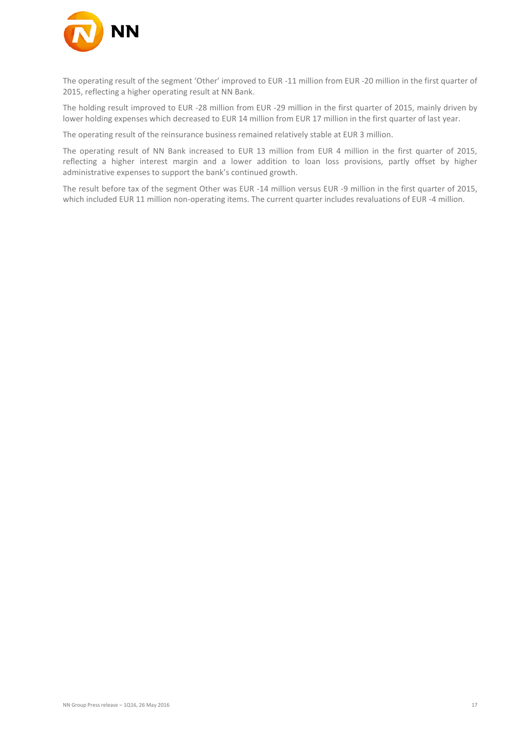

The operating result of the segment 'Other' improved to EUR -11 million from EUR -20 million in the first quarter of 2015, reflecting a higher operating result at NN Bank.

The holding result improved to EUR -28 million from EUR -29 million in the first quarter of 2015, mainly driven by lower holding expenses which decreased to EUR 14 million from EUR 17 million in the first quarter of last year.

The operating result of the reinsurance business remained relatively stable at EUR 3 million.

The operating result of NN Bank increased to EUR 13 million from EUR 4 million in the first quarter of 2015, reflecting a higher interest margin and a lower addition to loan loss provisions, partly offset by higher administrative expenses to support the bank's continued growth.

The result before tax of the segment Other was EUR -14 million versus EUR -9 million in the first quarter of 2015, which included EUR 11 million non-operating items. The current quarter includes revaluations of EUR -4 million.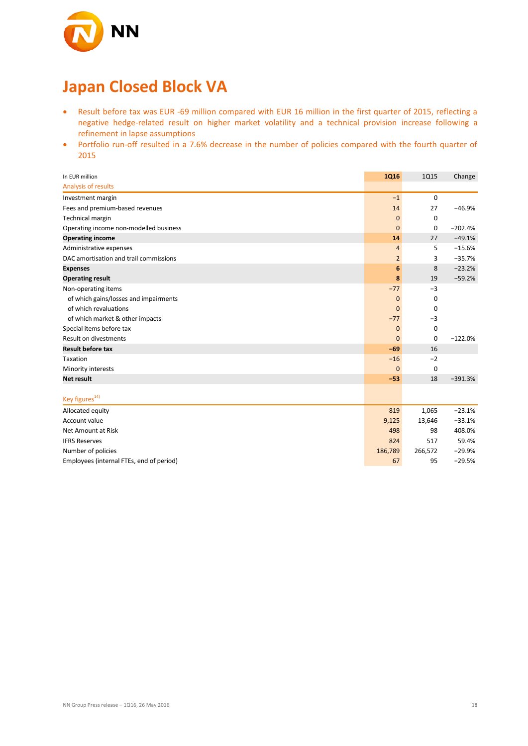

# **Japan Closed Block VA**

- Result before tax was EUR -69 million compared with EUR 16 million in the first quarter of 2015, reflecting a negative hedge-related result on higher market volatility and a technical provision increase following a refinement in lapse assumptions
- Portfolio run-off resulted in a 7.6% decrease in the number of policies compared with the fourth quarter of 2015

| In EUR million                           | <b>1Q16</b>    | 1Q15        | Change    |
|------------------------------------------|----------------|-------------|-----------|
| Analysis of results                      |                |             |           |
| Investment margin                        | $-1$           | $\mathbf 0$ |           |
| Fees and premium-based revenues          | 14             | 27          | $-46.9%$  |
| Technical margin                         | $\mathbf{0}$   | 0           |           |
| Operating income non-modelled business   | $\mathbf{0}$   | 0           | $-202.4%$ |
| <b>Operating income</b>                  | 14             | 27          | $-49.1%$  |
| Administrative expenses                  | 4              | 5           | $-15.6%$  |
| DAC amortisation and trail commissions   | $\overline{2}$ | 3           | $-35.7%$  |
| <b>Expenses</b>                          | 6              | 8           | $-23.2%$  |
| <b>Operating result</b>                  | 8              | 19          | $-59.2%$  |
| Non-operating items                      | $-77$          | $-3$        |           |
| of which gains/losses and impairments    | $\mathbf 0$    | 0           |           |
| of which revaluations                    | $\mathbf 0$    | 0           |           |
| of which market & other impacts          | $-77$          | $-3$        |           |
| Special items before tax                 | $\mathbf 0$    | $\mathbf 0$ |           |
| Result on divestments                    | $\mathbf{0}$   | $\mathbf 0$ | $-122.0%$ |
| <b>Result before tax</b>                 | $-69$          | 16          |           |
| Taxation                                 | $-16$          | $-2$        |           |
| Minority interests                       | $\mathbf{0}$   | 0           |           |
| Net result                               | $-53$          | 18          | $-391.3%$ |
|                                          |                |             |           |
| Key figures <sup>14)</sup>               |                |             |           |
| Allocated equity                         | 819            | 1,065       | $-23.1%$  |
| Account value                            | 9,125          | 13,646      | $-33.1%$  |
| Net Amount at Risk                       | 498            | 98          | 408.0%    |
| <b>IFRS Reserves</b>                     | 824            | 517         | 59.4%     |
| Number of policies                       | 186,789        | 266,572     | $-29.9%$  |
| Employees (internal FTEs, end of period) | 67             | 95          | $-29.5%$  |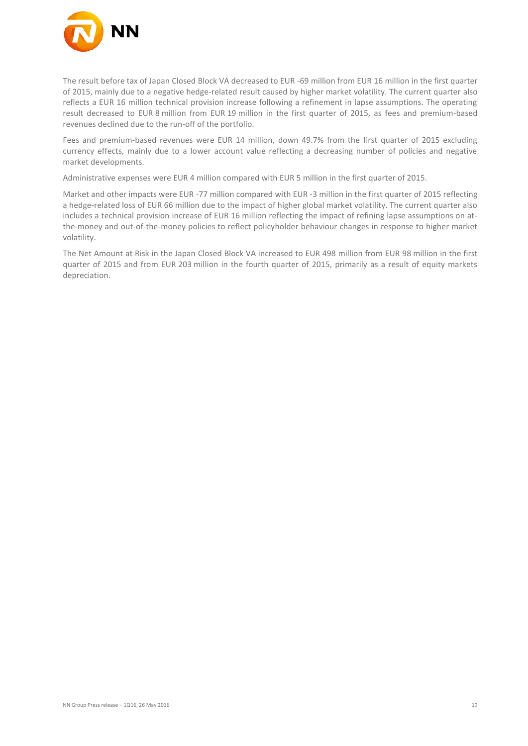

The result before tax of Japan Closed Block VA decreased to EUR -69 million from EUR 16 million in the first quarter of 2015, mainly due to a negative hedge-related result caused by higher market volatility. The current quarter also reflects a EUR 16 million technical provision increase following a refinement in lapse assumptions. The operating result decreased to EUR 8 million from EUR 19 million in the first quarter of 2015, as fees and premium-based revenues declined due to the run-off of the portfolio.

Fees and premium-based revenues were EUR 14 million, down 49.7% from the first quarter of 2015 excluding currency effects, mainly due to a lower account value reflecting a decreasing number of policies and negative market developments.

Administrative expenses were EUR 4 million compared with EUR 5 million in the first quarter of 2015.

Market and other impacts were EUR -77 million compared with EUR -3 million in the first quarter of 2015 reflecting a hedge-related loss of EUR 66 million due to the impact of higher global market volatility. The current quarter also includes a technical provision increase of EUR 16 million reflecting the impact of refining lapse assumptions on atthe-money and out-of-the-money policies to reflect policyholder behaviour changes in response to higher market volatility.

The Net Amount at Risk in the Japan Closed Block VA increased to EUR 498 million from EUR 98 million in the first quarter of 2015 and from EUR 203 million in the fourth quarter of 2015, primarily as a result of equity markets depreciation.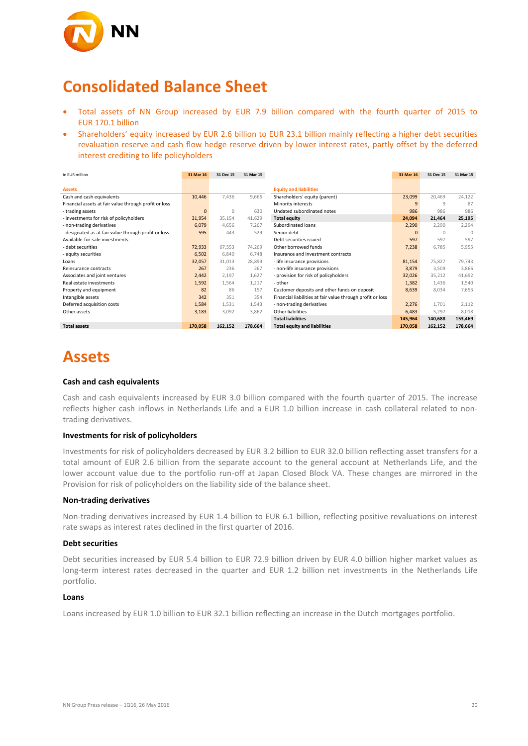

## **Consolidated Balance Sheet**

- Total assets of NN Group increased by EUR 7.9 billion compared with the fourth quarter of 2015 to EUR 170.1 billion
- Shareholders' equity increased by EUR 2.6 billion to EUR 23.1 billion mainly reflecting a higher debt securities revaluation reserve and cash flow hedge reserve driven by lower interest rates, partly offset by the deferred interest crediting to life policyholders

| in EUR million                                        | 31 Mar 16    | 31 Dec 15 | 31 Mar 15 |                                                            | 31 Mar 16    | 31 Dec 15 | 31 Mar 15 |
|-------------------------------------------------------|--------------|-----------|-----------|------------------------------------------------------------|--------------|-----------|-----------|
|                                                       |              |           |           |                                                            |              |           |           |
| <b>Assets</b>                                         |              |           |           | <b>Equity and liabilities</b>                              |              |           |           |
| Cash and cash equivalents                             | 10,446       | 7,436     | 9,666     | Shareholders' equity (parent)                              | 23,099       | 20,469    | 24,122    |
| Financial assets at fair value through profit or loss |              |           |           | Minority interests                                         | 9            | 9         | 87        |
| - trading assets                                      | $\mathbf{0}$ | 0         | 630       | Undated subordinated notes                                 | 986          | 986       | 986       |
| - investments for risk of policyholders               | 31,954       | 35,154    | 41,629    | <b>Total equity</b>                                        | 24,094       | 21,464    | 25,195    |
| - non-trading derivatives                             | 6,079        | 4,656     | 7,267     | Subordinated loans                                         | 2,290        | 2,290     | 2,294     |
| - designated as at fair value through profit or loss  | 595          | 443       | 529       | Senior debt                                                | $\mathbf{0}$ | $\Omega$  | $\Omega$  |
| Available-for-sale investments                        |              |           |           | Debt securities issued                                     | 597          | 597       | 597       |
| - debt securities                                     | 72,933       | 67,553    | 74,269    | Other borrowed funds                                       | 7,238        | 6,785     | 5,955     |
| - equity securities                                   | 6,502        | 6,840     | 6,748     | Insurance and investment contracts                         |              |           |           |
| Loans                                                 | 32,057       | 31,013    | 28,899    | - life insurance provisions                                | 81,154       | 75,827    | 79,743    |
| Reinsurance contracts                                 | 267          | 236       | 267       | - non-life insurance provisions                            | 3,879        | 3,509     | 3,866     |
| Associates and joint ventures                         | 2,442        | 2,197     | 1,627     | - provision for risk of policyholders                      | 32,026       | 35,212    | 41,692    |
| Real estate investments                               | 1,592        | 1,564     | 1,217     | - other                                                    | 1,382        | 1,436     | 1,540     |
| Property and equipment                                | 82           | 86        | 157       | Customer deposits and other funds on deposit               | 8,639        | 8,034     | 7,653     |
| Intangible assets                                     | 342          | 351       | 354       | Financial liabilities at fair value through profit or loss |              |           |           |
| Deferred acquisition costs                            | 1,584        | 1,531     | 1,543     | - non-trading derivatives                                  | 2,276        | 1,701     | 2,112     |
| Other assets                                          | 3,183        | 3,092     | 3,862     | Other liabilities                                          | 6,483        | 5,297     | 8,018     |
|                                                       |              |           |           | <b>Total liabilities</b>                                   | 145,964      | 140,688   | 153,469   |
| <b>Total assets</b>                                   | 170,058      | 162,152   | 178,664   | <b>Total equity and liabilities</b>                        | 170,058      | 162,152   | 178,664   |

## **Assets**

#### **Cash and cash equivalents**

Cash and cash equivalents increased by EUR 3.0 billion compared with the fourth quarter of 2015. The increase reflects higher cash inflows in Netherlands Life and a EUR 1.0 billion increase in cash collateral related to nontrading derivatives.

#### **Investments for risk of policyholders**

Investments for risk of policyholders decreased by EUR 3.2 billion to EUR 32.0 billion reflecting asset transfers for a total amount of EUR 2.6 billion from the separate account to the general account at Netherlands Life, and the lower account value due to the portfolio run-off at Japan Closed Block VA. These changes are mirrored in the Provision for risk of policyholders on the liability side of the balance sheet.

#### **Non-trading derivatives**

Non-trading derivatives increased by EUR 1.4 billion to EUR 6.1 billion, reflecting positive revaluations on interest rate swaps as interest rates declined in the first quarter of 2016.

#### **Debt securities**

Debt securities increased by EUR 5.4 billion to EUR 72.9 billion driven by EUR 4.0 billion higher market values as long-term interest rates decreased in the quarter and EUR 1.2 billion net investments in the Netherlands Life portfolio.

#### **Loans**

Loans increased by EUR 1.0 billion to EUR 32.1 billion reflecting an increase in the Dutch mortgages portfolio.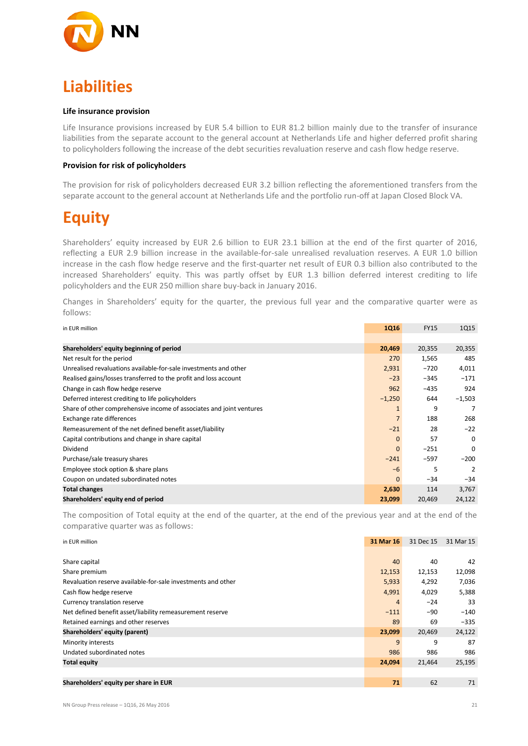

# **Liabilities**

#### **Life insurance provision**

Life Insurance provisions increased by EUR 5.4 billion to EUR 81.2 billion mainly due to the transfer of insurance liabilities from the separate account to the general account at Netherlands Life and higher deferred profit sharing to policyholders following the increase of the debt securities revaluation reserve and cash flow hedge reserve.

#### **Provision for risk of policyholders**

The provision for risk of policyholders decreased EUR 3.2 billion reflecting the aforementioned transfers from the separate account to the general account at Netherlands Life and the portfolio run-off at Japan Closed Block VA.

# **Equity**

Shareholders' equity increased by EUR 2.6 billion to EUR 23.1 billion at the end of the first quarter of 2016, reflecting a EUR 2.9 billion increase in the available-for-sale unrealised revaluation reserves. A EUR 1.0 billion increase in the cash flow hedge reserve and the first-quarter net result of EUR 0.3 billion also contributed to the increased Shareholders' equity. This was partly offset by EUR 1.3 billion deferred interest crediting to life policyholders and the EUR 250 million share buy-back in January 2016.

Changes in Shareholders' equity for the quarter, the previous full year and the comparative quarter were as follows:

| in EUR million                                                       | <b>1Q16</b>    | <b>FY15</b> | 1Q15     |
|----------------------------------------------------------------------|----------------|-------------|----------|
|                                                                      |                |             |          |
| Shareholders' equity beginning of period                             | 20,469         | 20,355      | 20,355   |
| Net result for the period                                            | 270            | 1,565       | 485      |
| Unrealised revaluations available-for-sale investments and other     | 2,931          | $-720$      | 4,011    |
| Realised gains/losses transferred to the profit and loss account     | $-23$          | $-345$      | $-171$   |
| Change in cash flow hedge reserve                                    | 962            | $-435$      | 924      |
| Deferred interest crediting to life policyholders                    | $-1,250$       | 644         | $-1,503$ |
| Share of other comprehensive income of associates and joint ventures | $\mathbf{1}$   | 9           | 7        |
| Exchange rate differences                                            | $\overline{7}$ | 188         | 268      |
| Remeasurement of the net defined benefit asset/liability             | $-21$          | 28          | $-22$    |
| Capital contributions and change in share capital                    | $\mathbf{0}$   | 57          | $\Omega$ |
| Dividend                                                             | $\mathbf{0}$   | $-251$      | $\Omega$ |
| Purchase/sale treasury shares                                        | $-241$         | $-597$      | $-200$   |
| Employee stock option & share plans                                  | $-6$           | 5           | 2        |
| Coupon on undated subordinated notes                                 | $\Omega$       | $-34$       | $-34$    |
| <b>Total changes</b>                                                 | 2,630          | 114         | 3,767    |
| Shareholders' equity end of period                                   | 23,099         | 20,469      | 24,122   |

The composition of Total equity at the end of the quarter, at the end of the previous year and at the end of the comparative quarter was as follows:

in EUR million **31 Mar 16** 31 Dec 15 31 Mar 15

| Share capital                                                | 40     | 40     | 42     |
|--------------------------------------------------------------|--------|--------|--------|
| Share premium                                                | 12,153 | 12,153 | 12,098 |
| Revaluation reserve available-for-sale investments and other | 5,933  | 4,292  | 7,036  |
| Cash flow hedge reserve                                      | 4,991  | 4,029  | 5,388  |
| Currency translation reserve                                 | 4      | $-24$  | 33     |
| Net defined benefit asset/liability remeasurement reserve    | $-111$ | $-90$  | $-140$ |
| Retained earnings and other reserves                         | 89     | 69     | $-335$ |
| Shareholders' equity (parent)                                | 23,099 | 20,469 | 24,122 |
| Minority interests                                           | 9      | 9      | 87     |
| Undated subordinated notes                                   | 986    | 986    | 986    |
| <b>Total equity</b>                                          | 24,094 | 21,464 | 25,195 |
|                                                              |        |        |        |
| Shareholders' equity per share in EUR                        | 71     | 62     | 71     |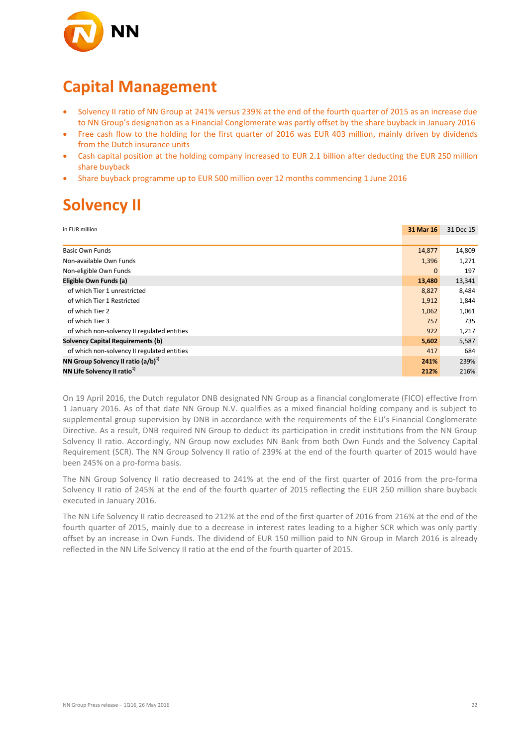

## **Capital Management**

- Solvency II ratio of NN Group at 241% versus 239% at the end of the fourth quarter of 2015 as an increase due to NN Group's designation as a Financial Conglomerate was partly offset by the share buyback in January 2016
- Free cash flow to the holding for the first quarter of 2016 was EUR 403 million, mainly driven by dividends from the Dutch insurance units
- Cash capital position at the holding company increased to EUR 2.1 billion after deducting the EUR 250 million share buyback
- Share buyback programme up to EUR 500 million over 12 months commencing 1 June 2016

# **Solvency II**

| in EUR million                              | 31 Mar 16    | 31 Dec 15 |
|---------------------------------------------|--------------|-----------|
|                                             |              |           |
| <b>Basic Own Funds</b>                      | 14,877       | 14,809    |
| Non-available Own Funds                     | 1,396        | 1,271     |
| Non-eligible Own Funds                      | $\mathbf{0}$ | 197       |
| Eligible Own Funds (a)                      | 13,480       | 13,341    |
| of which Tier 1 unrestricted                | 8,827        | 8,484     |
| of which Tier 1 Restricted                  | 1,912        | 1,844     |
| of which Tier 2                             | 1,062        | 1,061     |
| of which Tier 3                             | 757          | 735       |
| of which non-solvency II regulated entities | 922          | 1,217     |
| <b>Solvency Capital Requirements (b)</b>    | 5,602        | 5,587     |
| of which non-solvency II regulated entities | 417          | 684       |
| NN Group Solvency II ratio $(a/b)^{1}$      | 241%         | 239%      |
| NN Life Solvency II ratio <sup>1)</sup>     | 212%         | 216%      |

On 19 April 2016, the Dutch regulator DNB designated NN Group as a financial conglomerate (FICO) effective from 1 January 2016. As of that date NN Group N.V. qualifies as a mixed financial holding company and is subject to supplemental group supervision by DNB in accordance with the requirements of the EU's Financial Conglomerate Directive. As a result, DNB required NN Group to deduct its participation in credit institutions from the NN Group Solvency II ratio. Accordingly, NN Group now excludes NN Bank from both Own Funds and the Solvency Capital Requirement (SCR). The NN Group Solvency II ratio of 239% at the end of the fourth quarter of 2015 would have been 245% on a pro-forma basis.

The NN Group Solvency II ratio decreased to 241% at the end of the first quarter of 2016 from the pro-forma Solvency II ratio of 245% at the end of the fourth quarter of 2015 reflecting the EUR 250 million share buyback executed in January 2016.

The NN Life Solvency II ratio decreased to 212% at the end of the first quarter of 2016 from 216% at the end of the fourth quarter of 2015, mainly due to a decrease in interest rates leading to a higher SCR which was only partly offset by an increase in Own Funds. The dividend of EUR 150 million paid to NN Group in March 2016 is already reflected in the NN Life Solvency II ratio at the end of the fourth quarter of 2015.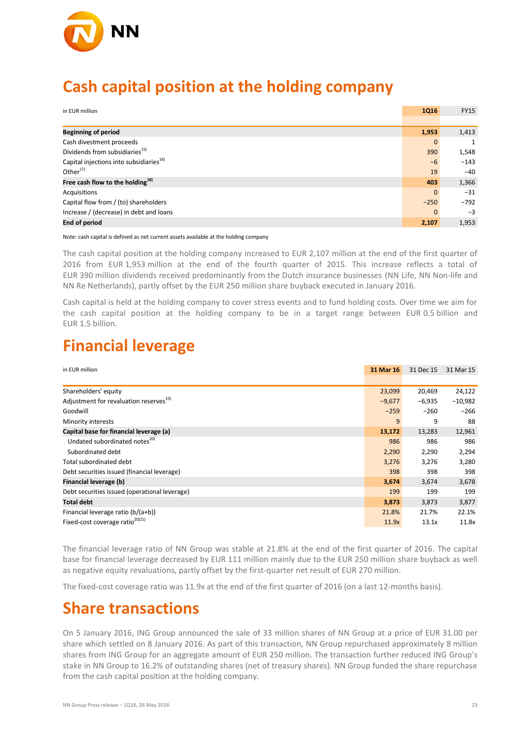

## **Cash capital position at the holding company**

| in EUR million                                      | <b>1Q16</b>  | <b>FY15</b> |
|-----------------------------------------------------|--------------|-------------|
|                                                     |              |             |
| <b>Beginning of period</b>                          | 1,953        | 1,413       |
| Cash divestment proceeds                            | $\mathbf{0}$ |             |
| Dividends from subsidiaries <sup>15)</sup>          | 390          | 1,548       |
| Capital injections into subsidiaries <sup>16)</sup> | $-6$         | $-143$      |
| Other $17$                                          | 19           | $-40$       |
| Free cash flow to the holding $^{18)}$              | 403          | 1,366       |
| Acquisitions                                        | $\mathbf{0}$ | $-31$       |
| Capital flow from / (to) shareholders               | $-250$       | $-792$      |
| Increase / (decrease) in debt and loans             | $\Omega$     | $-3$        |
| <b>End of period</b>                                | 2,107        | 1,953       |

Note: cash capital is defined as net current assets available at the holding company

The cash capital position at the holding company increased to EUR 2,107 million at the end of the first quarter of 2016 from EUR 1,953 million at the end of the fourth quarter of 2015. This increase reflects a total of EUR 390 million dividends received predominantly from the Dutch insurance businesses (NN Life, NN Non-life and NN Re Netherlands), partly offset by the EUR 250 million share buyback executed in January 2016.

Cash capital is held at the holding company to cover stress events and to fund holding costs. Over time we aim for the cash capital position at the holding company to be in a target range between EUR 0.5 billion and EUR 1.5 billion.

### **Financial leverage**

| in EUR million                                     | 31 Mar 16 | 31 Dec 15 | 31 Mar 15 |
|----------------------------------------------------|-----------|-----------|-----------|
|                                                    |           |           |           |
| Shareholders' equity                               | 23,099    | 20,469    | 24,122    |
| Adjustment for revaluation reserves <sup>19)</sup> | $-9,677$  | $-6,935$  | $-10,982$ |
| Goodwill                                           | $-259$    | $-260$    | $-266$    |
| Minority interests                                 | 9         | 9         | 88        |
| Capital base for financial leverage (a)            | 13,172    | 13,283    | 12,961    |
| Undated subordinated notes <sup>20)</sup>          | 986       | 986       | 986       |
| Subordinated debt                                  | 2,290     | 2,290     | 2,294     |
| Total subordinated debt                            | 3,276     | 3,276     | 3,280     |
| Debt securities issued (financial leverage)        | 398       | 398       | 398       |
| Financial leverage (b)                             | 3,674     | 3,674     | 3,678     |
| Debt securities issued (operational leverage)      | 199       | 199       | 199       |
| <b>Total debt</b>                                  | 3,873     | 3,873     | 3,877     |
| Financial leverage ratio $(b/(a+b))$               | 21.8%     | 21.7%     | 22.1%     |
| Fixed-cost coverage ratio <sup>20121</sup>         | 11.9x     | 13.1x     | 11.8x     |

The financial leverage ratio of NN Group was stable at 21.8% at the end of the first quarter of 2016. The capital base for financial leverage decreased by EUR 111 million mainly due to the EUR 250 million share buyback as well as negative equity revaluations, partly offset by the first-quarter net result of EUR 270 million.

The fixed-cost coverage ratio was 11.9x at the end of the first quarter of 2016 (on a last 12-months basis).

### **Share transactions**

On 5 January 2016, ING Group announced the sale of 33 million shares of NN Group at a price of EUR 31.00 per share which settled on 8 January 2016. As part of this transaction, NN Group repurchased approximately 8 million shares from ING Group for an aggregate amount of EUR 250 million. The transaction further reduced ING Group's stake in NN Group to 16.2% of outstanding shares (net of treasury shares). NN Group funded the share repurchase from the cash capital position at the holding company.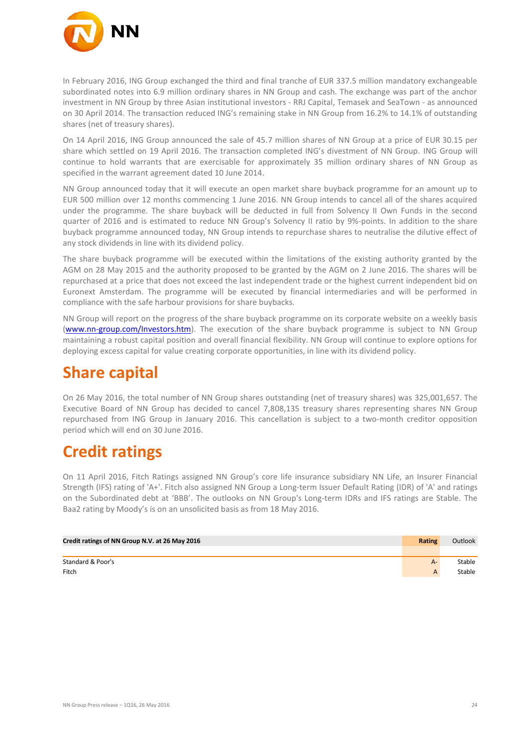

In February 2016, ING Group exchanged the third and final tranche of EUR 337.5 million mandatory exchangeable subordinated notes into 6.9 million ordinary shares in NN Group and cash. The exchange was part of the anchor investment in NN Group by three Asian institutional investors - RRJ Capital, Temasek and SeaTown - as announced on 30 April 2014. The transaction reduced ING's remaining stake in NN Group from 16.2% to 14.1% of outstanding shares (net of treasury shares).

On 14 April 2016, ING Group announced the sale of 45.7 million shares of NN Group at a price of EUR 30.15 per share which settled on 19 April 2016. The transaction completed ING's divestment of NN Group. ING Group will continue to hold warrants that are exercisable for approximately 35 million ordinary shares of NN Group as specified in the warrant agreement dated 10 June 2014.

NN Group announced today that it will execute an open market share buyback programme for an amount up to EUR 500 million over 12 months commencing 1 June 2016. NN Group intends to cancel all of the shares acquired under the programme. The share buyback will be deducted in full from Solvency II Own Funds in the second quarter of 2016 and is estimated to reduce NN Group's Solvency II ratio by 9%-points. In addition to the share buyback programme announced today, NN Group intends to repurchase shares to neutralise the dilutive effect of any stock dividends in line with its dividend policy.

The share buyback programme will be executed within the limitations of the existing authority granted by the AGM on 28 May 2015 and the authority proposed to be granted by the AGM on 2 June 2016. The shares will be repurchased at a price that does not exceed the last independent trade or the highest current independent bid on Euronext Amsterdam. The programme will be executed by financial intermediaries and will be performed in compliance with the safe harbour provisions for share buybacks.

NN Group will report on the progress of the share buyback programme on its corporate website on a weekly basis [\(www.nn-group.com/Investors.htm\)](http://www.nn-group.com/Investors.htm). The execution of the share buyback programme is subject to NN Group maintaining a robust capital position and overall financial flexibility. NN Group will continue to explore options for deploying excess capital for value creating corporate opportunities, in line with its dividend policy.

# **Share capital**

On 26 May 2016, the total number of NN Group shares outstanding (net of treasury shares) was 325,001,657. The Executive Board of NN Group has decided to cancel 7,808,135 treasury shares representing shares NN Group repurchased from ING Group in January 2016. This cancellation is subject to a two-month creditor opposition period which will end on 30 June 2016.

## **Credit ratings**

On 11 April 2016, Fitch Ratings assigned NN Group's core life insurance subsidiary NN Life, an Insurer Financial Strength (IFS) rating of 'A+'. Fitch also assigned NN Group a Long-term Issuer Default Rating (IDR) of 'A' and ratings on the Subordinated debt at 'BBB'. The outlooks on NN Group's Long-term IDRs and IFS ratings are Stable. The Baa2 rating by Moody's is on an unsolicited basis as from 18 May 2016.

| Credit ratings of NN Group N.V. at 26 May 2016 | <b>Rating</b> | Outlook |
|------------------------------------------------|---------------|---------|
|                                                |               |         |
| Standard & Poor's                              | $A -$         | Stable  |
| Fitch                                          |               | Stable  |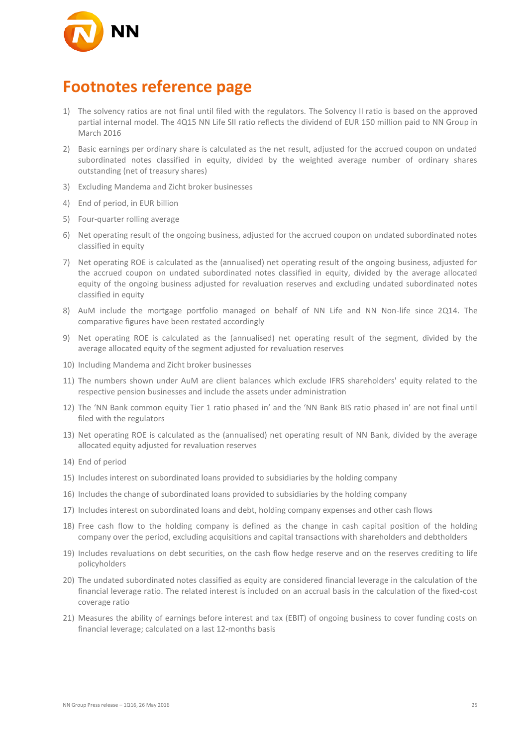

## **Footnotes reference page**

- 1) The solvency ratios are not final until filed with the regulators. The Solvency II ratio is based on the approved partial internal model. The 4Q15 NN Life SII ratio reflects the dividend of EUR 150 million paid to NN Group in March 2016
- 2) Basic earnings per ordinary share is calculated as the net result, adjusted for the accrued coupon on undated subordinated notes classified in equity, divided by the weighted average number of ordinary shares outstanding (net of treasury shares)
- 3) Excluding Mandema and Zicht broker businesses
- 4) End of period, in EUR billion
- 5) Four-quarter rolling average
- 6) Net operating result of the ongoing business, adjusted for the accrued coupon on undated subordinated notes classified in equity
- 7) Net operating ROE is calculated as the (annualised) net operating result of the ongoing business, adjusted for the accrued coupon on undated subordinated notes classified in equity, divided by the average allocated equity of the ongoing business adjusted for revaluation reserves and excluding undated subordinated notes classified in equity
- 8) AuM include the mortgage portfolio managed on behalf of NN Life and NN Non-life since 2Q14. The comparative figures have been restated accordingly
- 9) Net operating ROE is calculated as the (annualised) net operating result of the segment, divided by the average allocated equity of the segment adjusted for revaluation reserves
- 10) Including Mandema and Zicht broker businesses
- 11) The numbers shown under AuM are client balances which exclude IFRS shareholders' equity related to the respective pension businesses and include the assets under administration
- 12) The 'NN Bank common equity Tier 1 ratio phased in' and the 'NN Bank BIS ratio phased in' are not final until filed with the regulators
- 13) Net operating ROE is calculated as the (annualised) net operating result of NN Bank, divided by the average allocated equity adjusted for revaluation reserves
- 14) End of period
- 15) Includes interest on subordinated loans provided to subsidiaries by the holding company
- 16) Includes the change of subordinated loans provided to subsidiaries by the holding company
- 17) Includes interest on subordinated loans and debt, holding company expenses and other cash flows
- 18) Free cash flow to the holding company is defined as the change in cash capital position of the holding company over the period, excluding acquisitions and capital transactions with shareholders and debtholders
- 19) Includes revaluations on debt securities, on the cash flow hedge reserve and on the reserves crediting to life policyholders
- 20) The undated subordinated notes classified as equity are considered financial leverage in the calculation of the financial leverage ratio. The related interest is included on an accrual basis in the calculation of the fixed-cost coverage ratio
- 21) Measures the ability of earnings before interest and tax (EBIT) of ongoing business to cover funding costs on financial leverage; calculated on a last 12-months basis